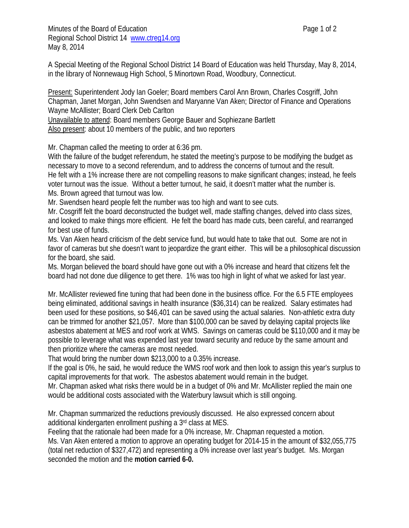Minutes of the Board of Education **Page 1** of 2 Regional School District 14 www.ctreg14.org May 8, 2014

A Special Meeting of the Regional School District 14 Board of Education was held Thursday, May 8, 2014, in the library of Nonnewaug High School, 5 Minortown Road, Woodbury, Connecticut.

Present: Superintendent Jody Ian Goeler; Board members Carol Ann Brown, Charles Cosgriff, John Chapman, Janet Morgan, John Swendsen and Maryanne Van Aken; Director of Finance and Operations Wayne McAllister; Board Clerk Deb Carlton

Unavailable to attend: Board members George Bauer and Sophiezane Bartlett Also present: about 10 members of the public, and two reporters

Mr. Chapman called the meeting to order at 6:36 pm.

With the failure of the budget referendum, he stated the meeting's purpose to be modifying the budget as necessary to move to a second referendum, and to address the concerns of turnout and the result. He felt with a 1% increase there are not compelling reasons to make significant changes; instead, he feels voter turnout was the issue. Without a better turnout, he said, it doesn't matter what the number is. Ms. Brown agreed that turnout was low.

Mr. Swendsen heard people felt the number was too high and want to see cuts.

Mr. Cosgriff felt the board deconstructed the budget well, made staffing changes, delved into class sizes, and looked to make things more efficient. He felt the board has made cuts, been careful, and rearranged for best use of funds.

Ms. Van Aken heard criticism of the debt service fund, but would hate to take that out. Some are not in favor of cameras but she doesn't want to jeopardize the grant either. This will be a philosophical discussion for the board, she said.

Ms. Morgan believed the board should have gone out with a 0% increase and heard that citizens felt the board had not done due diligence to get there. 1% was too high in light of what we asked for last year.

Mr. McAllister reviewed fine tuning that had been done in the business office. For the 6.5 FTE employees being eliminated, additional savings in health insurance (\$36,314) can be realized. Salary estimates had been used for these positions, so \$46,401 can be saved using the actual salaries. Non-athletic extra duty can be trimmed for another \$21,057. More than \$100,000 can be saved by delaying capital projects like asbestos abatement at MES and roof work at WMS. Savings on cameras could be \$110,000 and it may be possible to leverage what was expended last year toward security and reduce by the same amount and then prioritize where the cameras are most needed.

That would bring the number down \$213,000 to a 0.35% increase.

If the goal is 0%, he said, he would reduce the WMS roof work and then look to assign this year's surplus to capital improvements for that work. The asbestos abatement would remain in the budget.

Mr. Chapman asked what risks there would be in a budget of 0% and Mr. McAllister replied the main one would be additional costs associated with the Waterbury lawsuit which is still ongoing.

Mr. Chapman summarized the reductions previously discussed. He also expressed concern about additional kindergarten enrollment pushing a 3rd class at MES.

Feeling that the rationale had been made for a 0% increase, Mr. Chapman requested a motion. Ms. Van Aken entered a motion to approve an operating budget for 2014-15 in the amount of \$32,055,775 (total net reduction of \$327,472) and representing a 0% increase over last year's budget. Ms. Morgan seconded the motion and the **motion carried 6-0.**